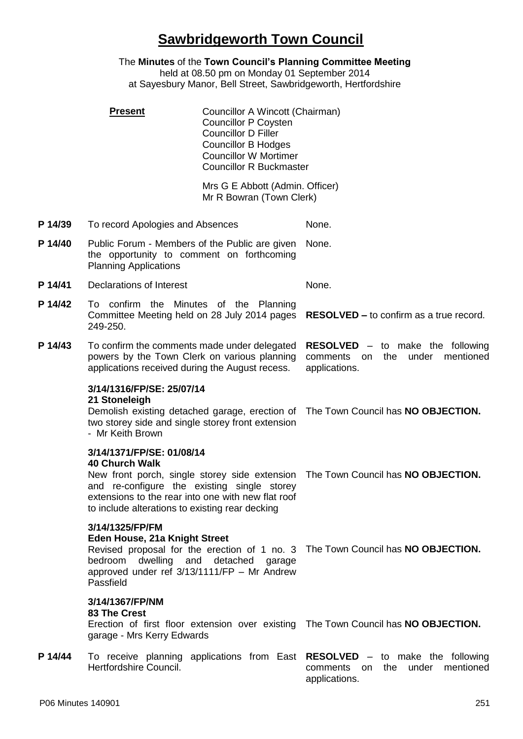# **Sawbridgeworth Town Council**

The **Minutes** of the **Town Council's Planning Committee Meeting** held at 08.50 pm on Monday 01 September 2014 at Sayesbury Manor, Bell Street, Sawbridgeworth, Hertfordshire

|         | <b>Present</b>                                                                                                                                                                                                                                              | Councillor A Wincott (Chairman)<br><b>Councillor P Coysten</b><br><b>Councillor D Filler</b><br><b>Councillor B Hodges</b><br><b>Councillor W Mortimer</b><br><b>Councillor R Buckmaster</b> |                                                                                                                                    |
|---------|-------------------------------------------------------------------------------------------------------------------------------------------------------------------------------------------------------------------------------------------------------------|----------------------------------------------------------------------------------------------------------------------------------------------------------------------------------------------|------------------------------------------------------------------------------------------------------------------------------------|
|         |                                                                                                                                                                                                                                                             | Mrs G E Abbott (Admin. Officer)<br>Mr R Bowran (Town Clerk)                                                                                                                                  |                                                                                                                                    |
| P 14/39 | To record Apologies and Absences                                                                                                                                                                                                                            |                                                                                                                                                                                              | None.                                                                                                                              |
| P 14/40 | Public Forum - Members of the Public are given<br>the opportunity to comment on forthcoming<br><b>Planning Applications</b>                                                                                                                                 |                                                                                                                                                                                              | None.                                                                                                                              |
| P 14/41 | Declarations of Interest                                                                                                                                                                                                                                    |                                                                                                                                                                                              | None.                                                                                                                              |
| P 14/42 | To confirm the Minutes of the Planning<br>Committee Meeting held on 28 July 2014 pages<br>249-250.                                                                                                                                                          |                                                                                                                                                                                              | <b>RESOLVED – to confirm as a true record.</b>                                                                                     |
| P 14/43 | To confirm the comments made under delegated<br>powers by the Town Clerk on various planning<br>applications received during the August recess.                                                                                                             |                                                                                                                                                                                              | <b>RESOLVED</b> $-$ to make the following<br>the<br>under<br>mentioned<br>comments<br>on on<br>applications.                       |
|         | 3/14/1316/FP/SE: 25/07/14<br>21 Stoneleigh<br>Demolish existing detached garage, erection of<br>two storey side and single storey front extension<br>- Mr Keith Brown                                                                                       |                                                                                                                                                                                              | The Town Council has NO OBJECTION.                                                                                                 |
|         | 3/14/1371/FP/SE: 01/08/14<br><b>40 Church Walk</b><br>New front porch, single storey side extension<br>and re-configure the existing single storey<br>extensions to the rear into one with new flat roof<br>to include alterations to existing rear decking |                                                                                                                                                                                              | The Town Council has NO OBJECTION.                                                                                                 |
|         | 3/14/1325/FP/FM<br>Eden House, 21a Knight Street<br>bedroom dwelling and detached garage<br>approved under ref 3/13/1111/FP - Mr Andrew<br>Passfield                                                                                                        |                                                                                                                                                                                              | Revised proposal for the erection of 1 no. 3 The Town Council has NO OBJECTION.                                                    |
|         | 3/14/1367/FP/NM<br>83 The Crest<br>garage - Mrs Kerry Edwards                                                                                                                                                                                               |                                                                                                                                                                                              | Erection of first floor extension over existing The Town Council has NO OBJECTION.                                                 |
| P 14/44 | Hertfordshire Council.                                                                                                                                                                                                                                      |                                                                                                                                                                                              | To receive planning applications from East RESOLVED - to make the following<br>under mentioned<br>comments on the<br>applications. |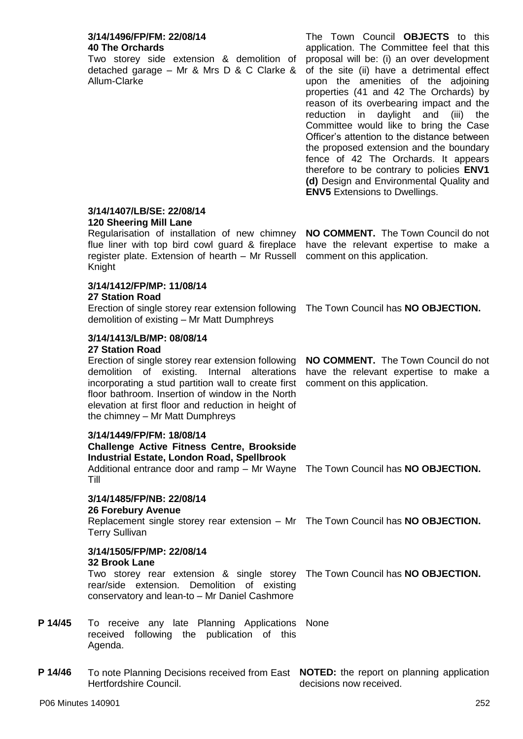#### **3/14/1496/FP/FM: 22/08/14 40 The Orchards**

Two storey side extension & demolition of detached garage – Mr & Mrs D & C Clarke & Allum-Clarke

The Town Council **OBJECTS** to this application. The Committee feel that this proposal will be: (i) an over development of the site (ii) have a detrimental effect upon the amenities of the adjoining properties (41 and 42 The Orchards) by reason of its overbearing impact and the reduction in daylight and (iii) the Committee would like to bring the Case Officer's attention to the distance between the proposed extension and the boundary fence of 42 The Orchards. It appears therefore to be contrary to policies **ENV1 (d)** Design and Environmental Quality and **ENV5** Extensions to Dwellings.

**NO COMMENT.** The Town Council do not have the relevant expertise to make a

comment on this application.

#### **3/14/1407/LB/SE: 22/08/14 120 Sheering Mill Lane**

Regularisation of installation of new chimney flue liner with top bird cowl guard & fireplace register plate. Extension of hearth – Mr Russell Knight

# **3/14/1412/FP/MP: 11/08/14**

#### **27 Station Road**

Erection of single storey rear extension following demolition of existing – Mr Matt Dumphreys The Town Council has **NO OBJECTION.**

# **3/14/1413/LB/MP: 08/08/14**

### **27 Station Road**

Erection of single storey rear extension following demolition of existing. Internal alterations incorporating a stud partition wall to create first floor bathroom. Insertion of window in the North elevation at first floor and reduction in height of the chimney – Mr Matt Dumphreys

#### **3/14/1449/FP/FM: 18/08/14**

**Challenge Active Fitness Centre, Brookside Industrial Estate, London Road, Spellbrook**

Additional entrance door and ramp – Mr Wayne The Town Council has **NO OBJECTION.** Till

#### **3/14/1485/FP/NB: 22/08/14**

#### **26 Forebury Avenue**

Replacement single storey rear extension – Mr The Town Council has **NO OBJECTION.** Terry Sullivan

#### **3/14/1505/FP/MP: 22/08/14 32 Brook Lane**

Two storey rear extension & single storey The Town Council has **NO OBJECTION**. rear/side extension. Demolition of existing conservatory and lean-to – Mr Daniel Cashmore

- **P 14/45** To receive any late Planning Applications None received following the publication of this Agenda.
- **P 14/46** To note Planning Decisions received from East **NOTED:** the report on planning application Hertfordshire Council. decisions now received.

**NO COMMENT.** The Town Council do not have the relevant expertise to make a comment on this application.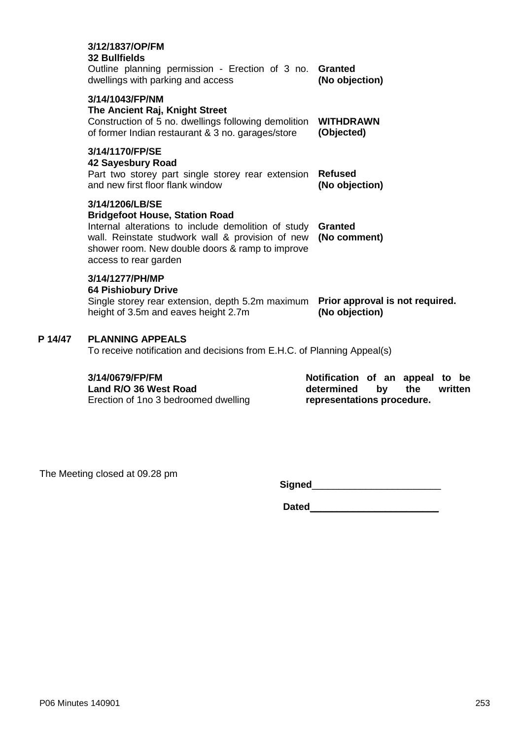|         | 3/12/1837/OP/FM<br><b>32 Bullfields</b><br>Outline planning permission - Erection of 3 no.<br>dwellings with parking and access                                                                                                                 | <b>Granted</b><br>(No objection)                  |  |  |
|---------|-------------------------------------------------------------------------------------------------------------------------------------------------------------------------------------------------------------------------------------------------|---------------------------------------------------|--|--|
|         | 3/14/1043/FP/NM<br>The Ancient Raj, Knight Street<br>Construction of 5 no. dwellings following demolition<br>of former Indian restaurant & 3 no. garages/store                                                                                  | <b>WITHDRAWN</b><br>(Objected)                    |  |  |
|         | 3/14/1170/FP/SE<br>42 Sayesbury Road<br>Part two storey part single storey rear extension<br>and new first floor flank window                                                                                                                   | <b>Refused</b><br>(No objection)                  |  |  |
|         | 3/14/1206/LB/SE<br><b>Bridgefoot House, Station Road</b><br>Internal alterations to include demolition of study<br>wall. Reinstate studwork wall & provision of new<br>shower room. New double doors & ramp to improve<br>access to rear garden | <b>Granted</b><br>(No comment)                    |  |  |
|         | 3/14/1277/PH/MP<br><b>64 Pishiobury Drive</b><br>Single storey rear extension, depth 5.2m maximum<br>height of 3.5m and eaves height 2.7m                                                                                                       | Prior approval is not required.<br>(No objection) |  |  |
| P 14/47 | <b>PLANNING APPEALS</b><br>To receive notification and decisions from E.H.C. of Planning Appeal(s)                                                                                                                                              |                                                   |  |  |
|         | 3/1/0670/CD/CM                                                                                                                                                                                                                                  | Notification of an annoal to                      |  |  |

#### **3/14/0679/FP/FM**

**Land R/O 36 West Road** Erection of 1no 3 bedroomed dwelling

**Notification of an appeal to be determined by the written representations procedure.**

The Meeting closed at 09.28 pm

**Signed**\_\_\_\_\_\_\_\_\_\_\_\_\_\_\_\_\_\_\_\_\_\_\_\_

**Dated**\_\_\_\_\_\_\_\_\_\_\_\_\_\_\_\_\_\_\_\_\_\_\_\_